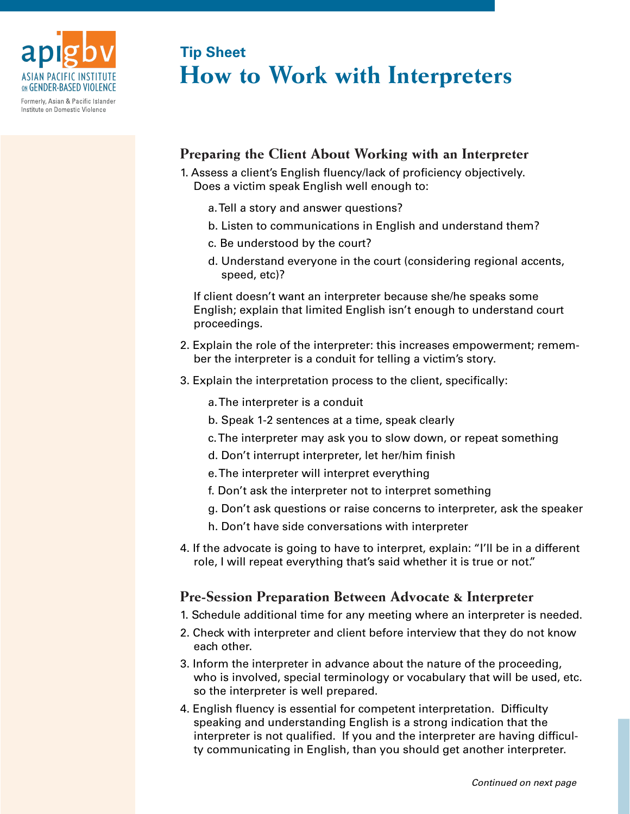

Formerly, Asian & Pacific Islander Institute on Domestic Violence

# **How to Work with Interpreters Tip Sheet**

## **Preparing the Client About Working with an Interpreter**

- 1. Assess a client's English fluency/lack of proficiency objectively. Does a victim speak English well enough to:
	- a. Tell a story and answer questions?
	- b. Listen to communications in English and understand them?
	- c. Be understood by the court?
	- d. Understand everyone in the court (considering regional accents, speed, etc)?

If client doesn't want an interpreter because she/he speaks some English; explain that limited English isn't enough to understand court proceedings.

- 2. Explain the role of the interpreter: this increases empowerment; remember the interpreter is a conduit for telling a victim's story.
- 3. Explain the interpretation process to the client, specifically:
	- a. The interpreter is a conduit
	- b. Speak 1-2 sentences at a time, speak clearly
	- c. The interpreter may ask you to slow down, or repeat something
	- d. Don't interrupt interpreter, let her/him finish
	- e. The interpreter will interpret everything
	- f. Don't ask the interpreter not to interpret something
	- g. Don't ask questions or raise concerns to interpreter, ask the speaker
	- h. Don't have side conversations with interpreter
- 4. If the advocate is going to have to interpret, explain: "I'll be in a different role, I will repeat everything that's said whether it is true or not."

### **Pre-Session Preparation Between Advocate & Interpreter**

- 1. Schedule additional time for any meeting where an interpreter is needed.
- 2. Check with interpreter and client before interview that they do not know each other.
- 3. Inform the interpreter in advance about the nature of the proceeding, who is involved, special terminology or vocabulary that will be used, etc. so the interpreter is well prepared.
- 4. English fluency is essential for competent interpretation. Difficulty speaking and understanding English is a strong indication that the interpreter is not qualified. If you and the interpreter are having difficulty communicating in English, than you should get another interpreter.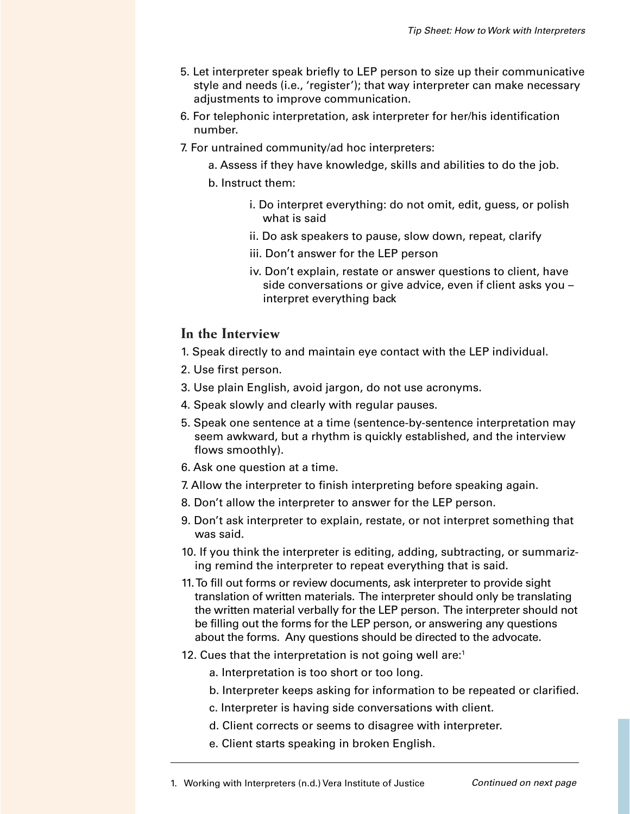- 5. Let interpreter speak briefly to LEP person to size up their communicative style and needs (i.e., 'register'); that way interpreter can make necessary adjustments to improve communication.
- 6. For telephonic interpretation, ask interpreter for her/his identification number.
- 7. For untrained community/ad hoc interpreters:
	- a. Assess if they have knowledge, skills and abilities to do the job.
	- b. Instruct them:
		- i. Do interpret everything: do not omit, edit, guess, or polish what is said
		- ii. Do ask speakers to pause, slow down, repeat, clarify
		- iii. Don't answer for the LEP person
		- iv. Don't explain, restate or answer questions to client, have side conversations or give advice, even if client asks you – interpret everything back

#### **In the Interview**

- 1. Speak directly to and maintain eye contact with the LEP individual.
- 2. Use first person.
- 3. Use plain English, avoid jargon, do not use acronyms.
- 4. Speak slowly and clearly with regular pauses.
- 5. Speak one sentence at a time (sentence-by-sentence interpretation may seem awkward, but a rhythm is quickly established, and the interview flows smoothly).
- 6. Ask one question at a time.
- 7. Allow the interpreter to finish interpreting before speaking again.
- 8. Don't allow the interpreter to answer for the LEP person.
- 9. Don't ask interpreter to explain, restate, or not interpret something that was said.
- 10. If you think the interpreter is editing, adding, subtracting, or summarizing remind the interpreter to repeat everything that is said.
- 11. To fill out forms or review documents, ask interpreter to provide sight translation of written materials. The interpreter should only be translating the written material verbally for the LEP person. The interpreter should not be filling out the forms for the LEP person, or answering any questions about the forms. Any questions should be directed to the advocate.
- 12. Cues that the interpretation is not going well are: $1$ 
	- a. Interpretation is too short or too long.
	- b. Interpreter keeps asking for information to be repeated or clarified.
	- c. Interpreter is having side conversations with client.
	- d. Client corrects or seems to disagree with interpreter.
	- e. Client starts speaking in broken English.